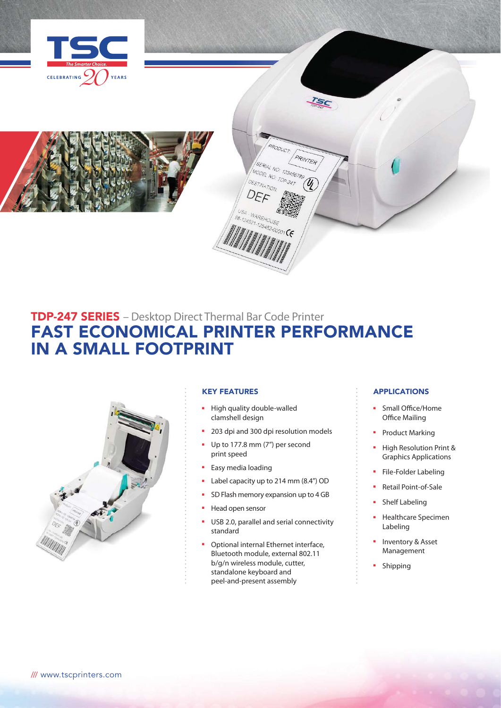



# TDP-247 SERIES – Desktop Direct Thermal Bar Code Printer FAST ECONOMICAL PRINTER PERFORMANCE IN A SMALL FOOTPRINT



## KEY FEATURES

- High quality double-walled clamshell design
- 203 dpi and 300 dpi resolution models

ISC

PRINTER

PRODUC

SERIAL NO. 123456789 MODEL NO: 123456

521-125452-00001 CE

- Up to 177.8 mm (7") per second print speed
- Easy media loading
- Label capacity up to 214 mm (8.4") OD
- SD Flash memory expansion up to 4 GB
- Head open sensor
- USB 2.0, parallel and serial connectivity standard
- Optional internal Ethernet interface, Bluetooth module, external 802.11 b/g/n wireless module, cutter, standalone keyboard and peel-and-present assembly

## APPLICATIONS

- Small Office/Home Office Mailing
- Product Marking
- High Resolution Print & Graphics Applications
- File-Folder Labeling
- Retail Point-of-Sale
- Shelf Labeling
- Healthcare Specimen Labeling
- Inventory & Asset Management
- **Shipping**